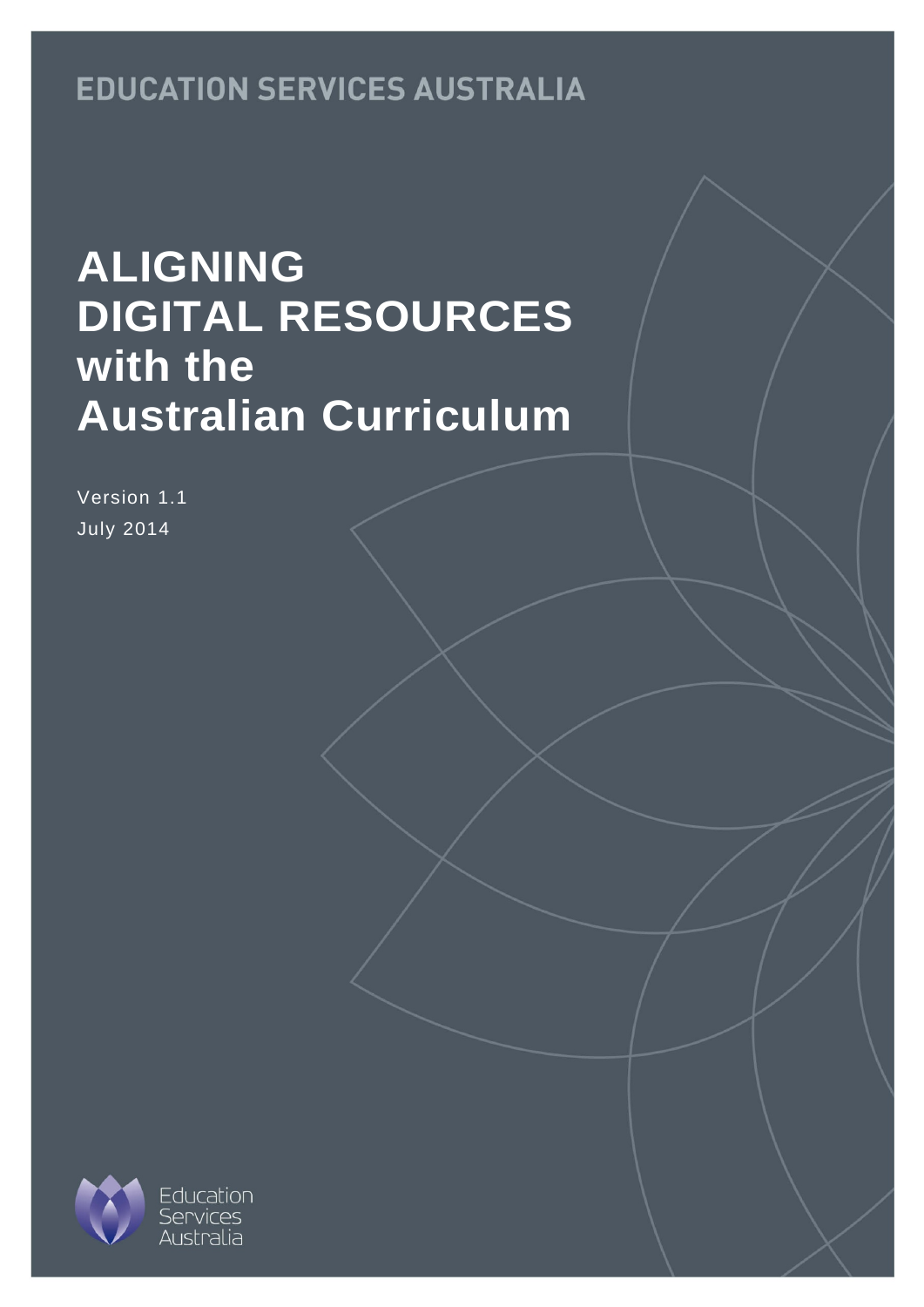## **EDUCATION SERVICES AUSTRALIA**

# **ALIGNING DIGITAL RESOURCES with the Australian Curriculum**

Version 1.1 July 2014

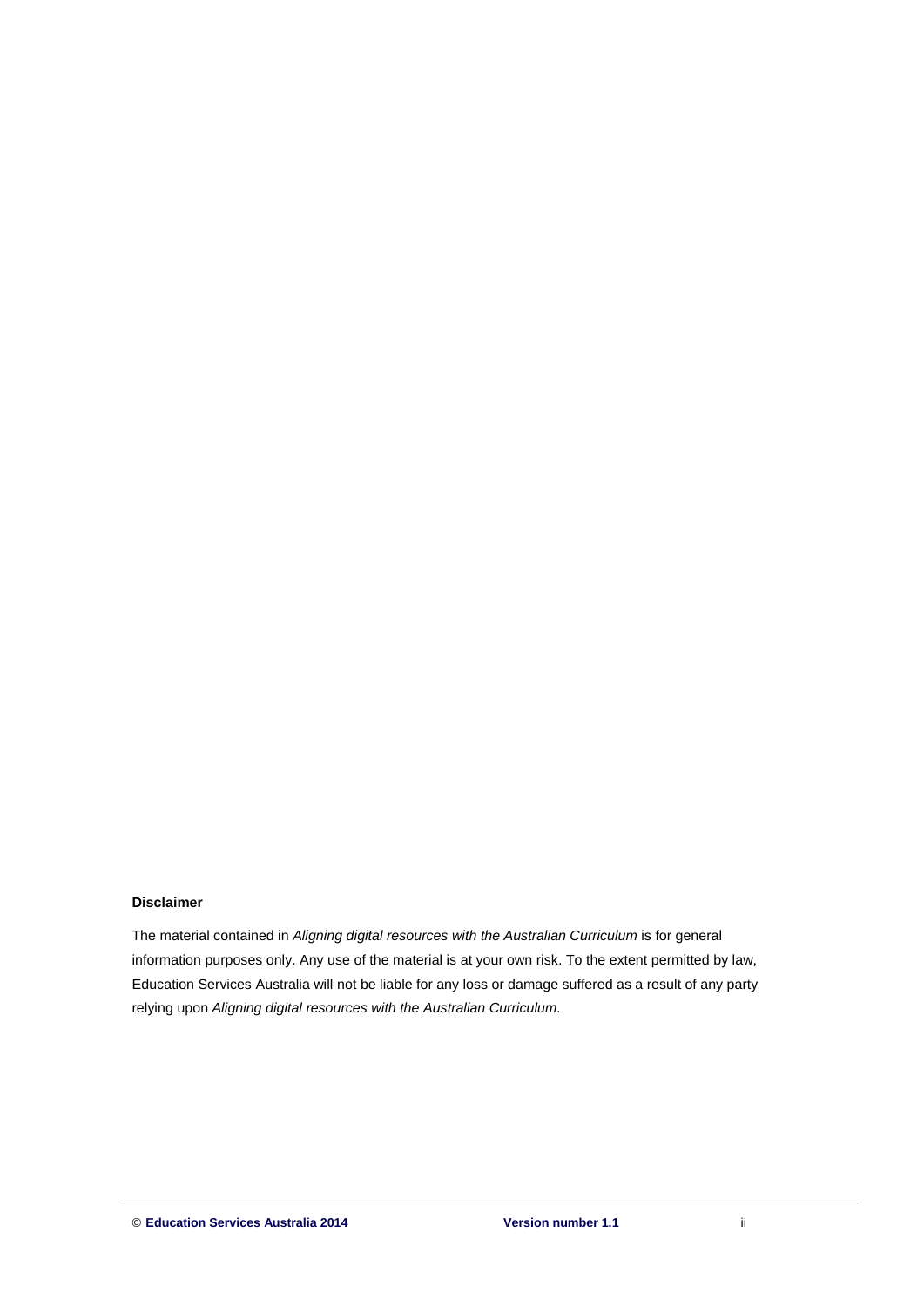#### **Disclaimer**

The material contained in *Aligning digital resources with the Australian Curriculum* is for general information purposes only. Any use of the material is at your own risk. To the extent permitted by law, Education Services Australia will not be liable for any loss or damage suffered as a result of any party relying upon *Aligning digital resources with the Australian Curriculum*.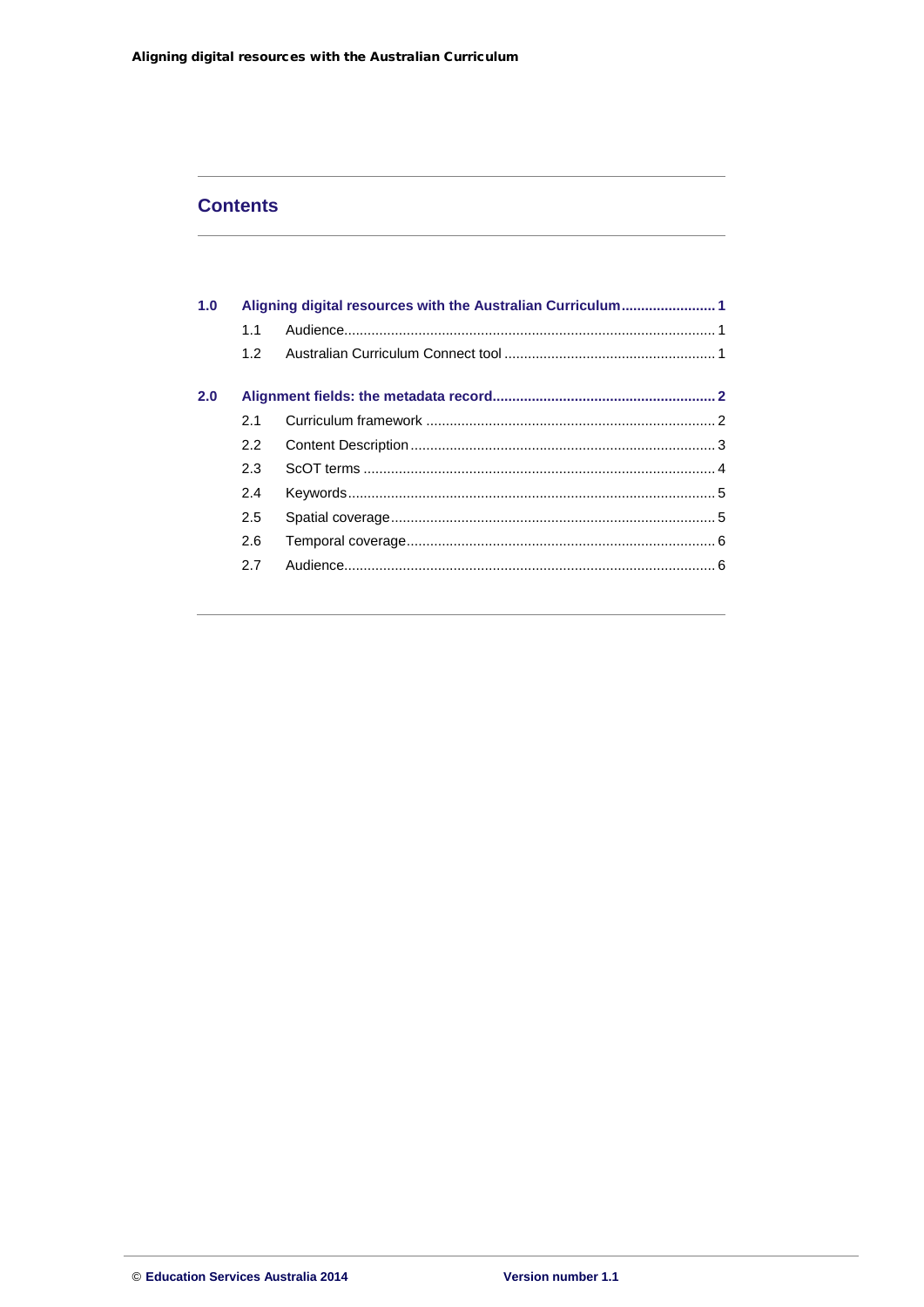#### **Contents**

| 1.0 |               | Aligning digital resources with the Australian Curriculum 1 |  |
|-----|---------------|-------------------------------------------------------------|--|
|     | 11            |                                                             |  |
|     | 12            |                                                             |  |
| 2.0 |               |                                                             |  |
|     | 21            |                                                             |  |
|     | $2.2^{\circ}$ |                                                             |  |
|     | 2.3           |                                                             |  |
|     | 2.4           |                                                             |  |
|     | 2.5           |                                                             |  |
|     | 2.6           |                                                             |  |
|     | 2.7           |                                                             |  |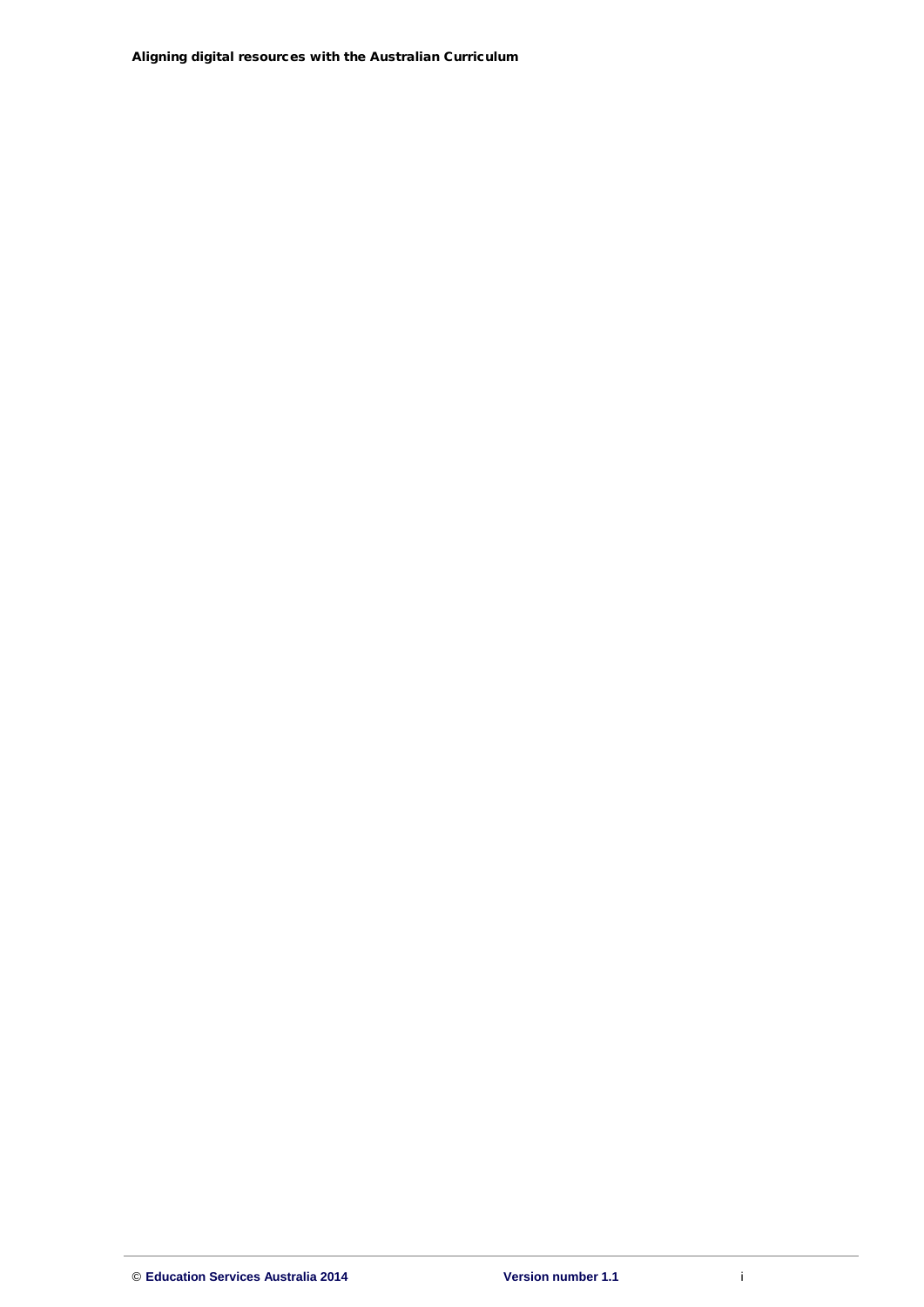Aligning digital resources with the Australian Curriculum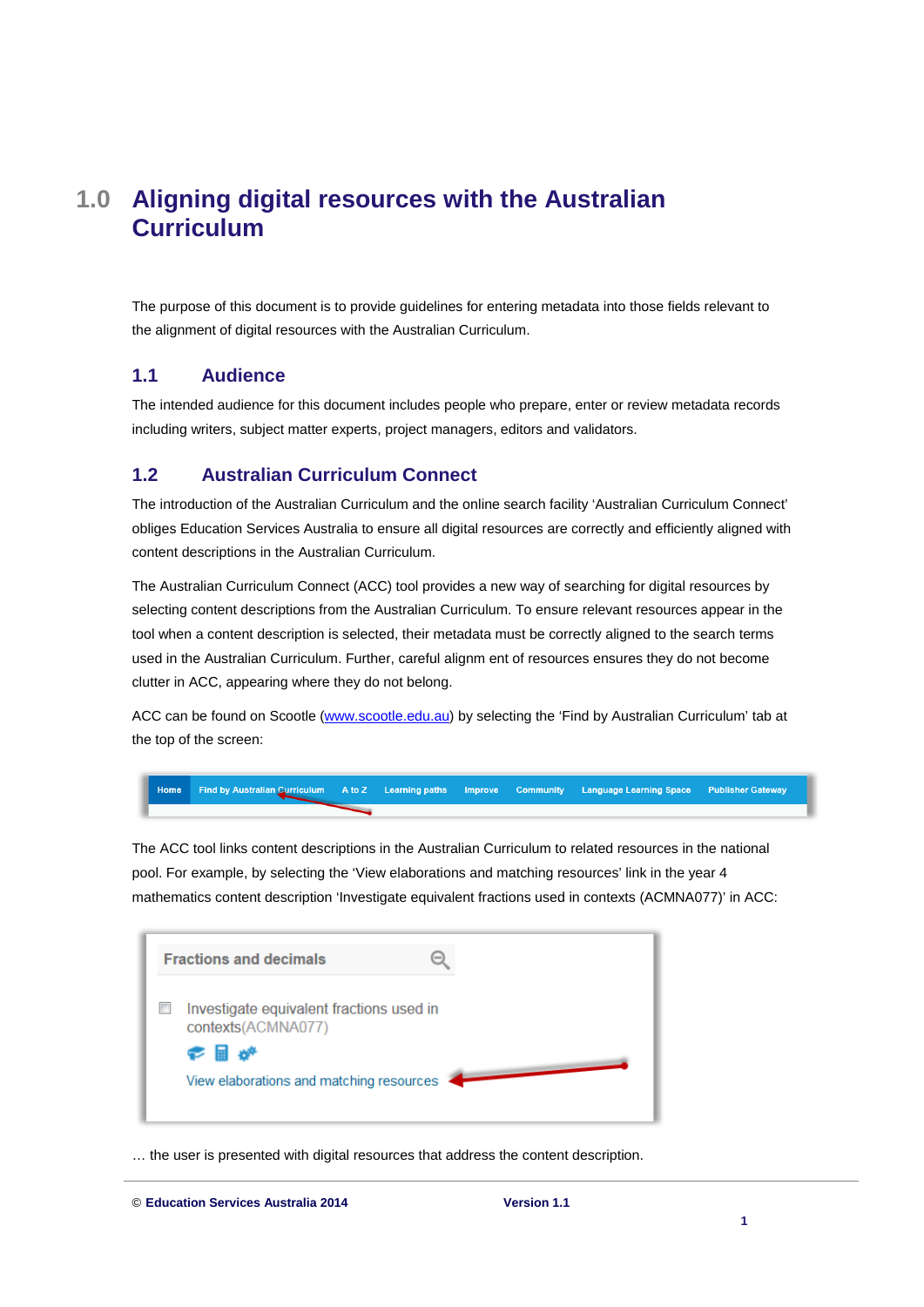### <span id="page-4-0"></span>**1.0 Aligning digital resources with the Australian Curriculum**

The purpose of this document is to provide guidelines for entering metadata into those fields relevant to the alignment of digital resources with the Australian Curriculum.

#### <span id="page-4-1"></span>**1.1 Audience**

The intended audience for this document includes people who prepare, enter or review metadata records including writers, subject matter experts, project managers, editors and validators.

#### <span id="page-4-2"></span>**1.2 Australian Curriculum Connect**

The introduction of the Australian Curriculum and the online search facility 'Australian Curriculum Connect' obliges Education Services Australia to ensure all digital resources are correctly and efficiently aligned with content descriptions in the Australian Curriculum.

The Australian Curriculum Connect (ACC) tool provides a new way of searching for digital resources by selecting content descriptions from the Australian Curriculum. To ensure relevant resources appear in the tool when a content description is selected, their metadata must be correctly aligned to the search terms used in the Australian Curriculum. Further, careful alignm ent of resources ensures they do not become clutter in ACC, appearing where they do not belong.

ACC can be found on Scootle [\(www.scootle.edu.au\)](http://www.scootle.edu.au/) by selecting the 'Find by Australian Curriculum' tab at the top of the screen:

The ACC tool links content descriptions in the Australian Curriculum to related resources in the national pool. For example, by selecting the 'View elaborations and matching resources' link in the year 4 mathematics content description 'Investigate equivalent fractions used in contexts (ACMNA077)' in ACC:



… the user is presented with digital resources that address the content description.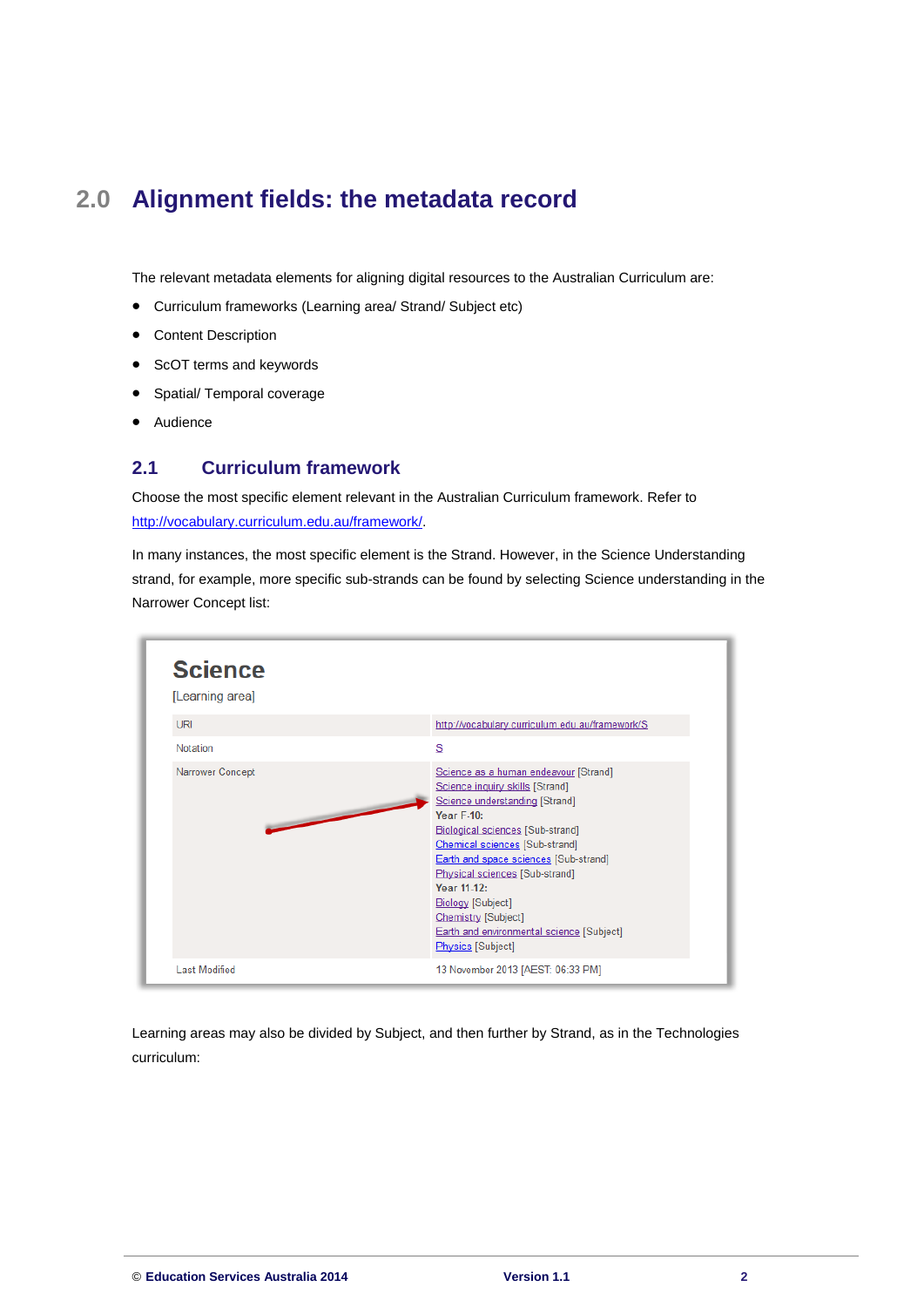## <span id="page-5-0"></span>**2.0 Alignment fields: the metadata record**

The relevant metadata elements for aligning digital resources to the Australian Curriculum are:

- Curriculum frameworks (Learning area/ Strand/ Subject etc)
- Content Description
- ScOT terms and keywords
- Spatial/ Temporal coverage
- Audience

#### <span id="page-5-1"></span>**2.1 Curriculum framework**

Choose the most specific element relevant in the Australian Curriculum framework. Refer to [http://vocabulary.curriculum.edu.au/framework/.](http://vocabulary.curriculum.edu.au/framework/)

In many instances, the most specific element is the Strand. However, in the Science Understanding strand, for example, more specific sub-strands can be found by selecting Science understanding in the Narrower Concept list:

| <b>Science</b><br>[Learning area] |                                                                                                                                                                                                                                                                                                                                                                                                                         |
|-----------------------------------|-------------------------------------------------------------------------------------------------------------------------------------------------------------------------------------------------------------------------------------------------------------------------------------------------------------------------------------------------------------------------------------------------------------------------|
| <b>URI</b>                        | http://vocabulary.curriculum.edu.au/framework/S                                                                                                                                                                                                                                                                                                                                                                         |
| Notation                          | S                                                                                                                                                                                                                                                                                                                                                                                                                       |
| Narrower Concept                  | Science as a human endeavour [Strand]<br>Science inquiry skills [Strand]<br>Science understanding [Strand]<br>Year $F-10$ :<br><b>Biological sciences [Sub-strand]</b><br>Chemical sciences [Sub-strand]<br>Earth and space sciences [Sub-strand]<br>Physical sciences [Sub-strand]<br>Year 11-12:<br>Biology [Subject]<br>Chemistry [Subject]<br>Earth and environmental science [Subject]<br><b>Physics [Subject]</b> |
| <b>Last Modified</b>              | 13 November 2013 [AEST: 06:33 PM]                                                                                                                                                                                                                                                                                                                                                                                       |

Learning areas may also be divided by Subject, and then further by Strand, as in the Technologies curriculum: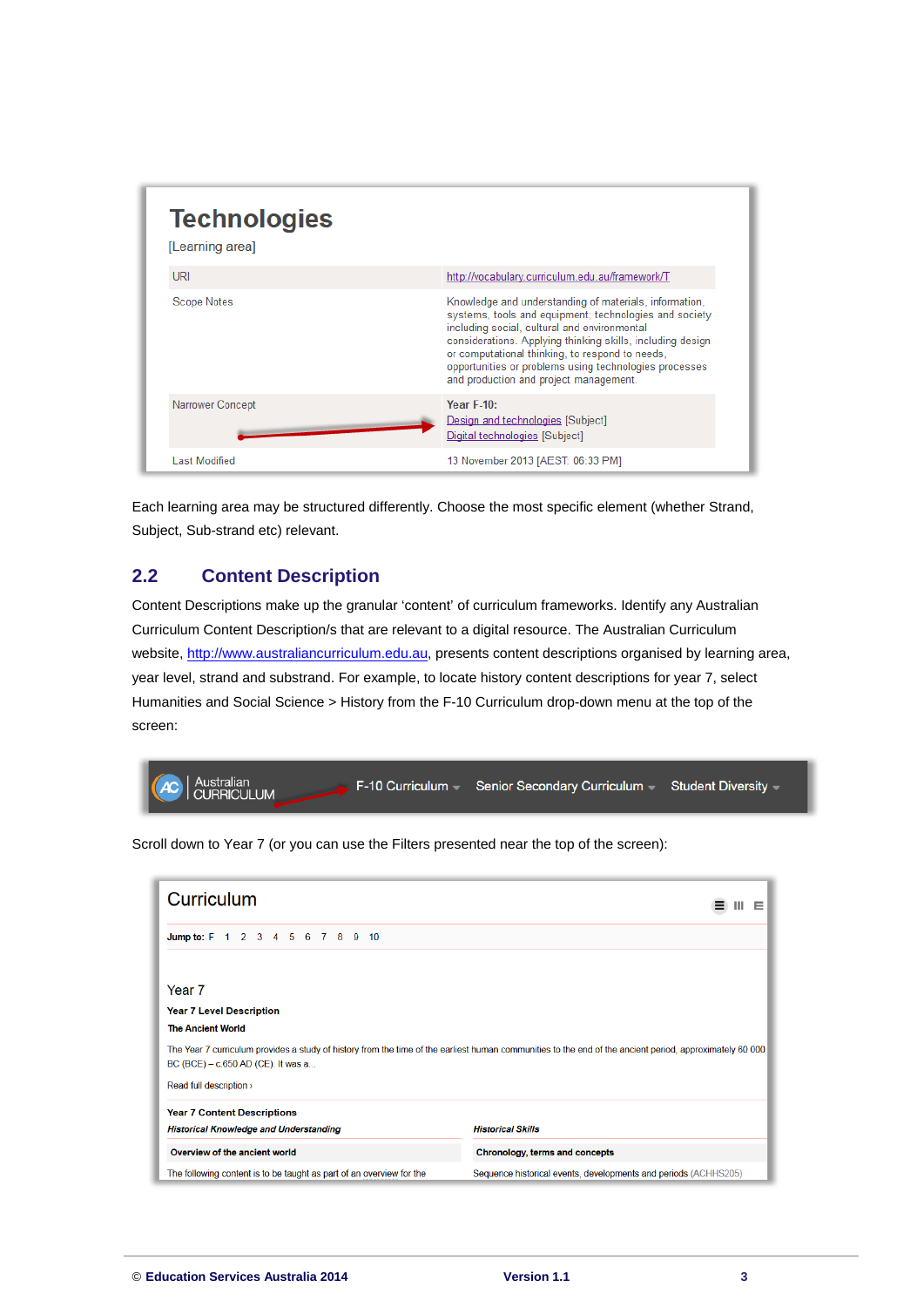| <b>Technologies</b><br>[Learning area] |                                                                                                                                                                                                                                                                                                                                                                                       |
|----------------------------------------|---------------------------------------------------------------------------------------------------------------------------------------------------------------------------------------------------------------------------------------------------------------------------------------------------------------------------------------------------------------------------------------|
| URI                                    | http://vocabulary.curriculum.edu.au/framework/T                                                                                                                                                                                                                                                                                                                                       |
| Scope Notes                            | Knowledge and understanding of materials, information,<br>systems, tools and equipment; technologies and society<br>including social, cultural and environmental<br>considerations. Applying thinking skills, including design<br>or computational thinking, to respond to needs,<br>opportunities or problems using technologies processes<br>and production and project management. |
| <b>Narrower Concept</b>                | Year $F-10$ :<br>Design and technologies [Subject]<br>Digital technologies [Subject]                                                                                                                                                                                                                                                                                                  |
| <b>Last Modified</b>                   | 13 November 2013 [AEST: 06:33 PM]                                                                                                                                                                                                                                                                                                                                                     |

Each learning area may be structured differently. Choose the most specific element (whether Strand, Subject, Sub-strand etc) relevant.

#### <span id="page-6-0"></span>**2.2 Content Description**

Content Descriptions make up the granular 'content' of curriculum frameworks. Identify any Australian Curriculum Content Description/s that are relevant to a digital resource. The Australian Curriculum website[, http://www.australiancurriculum.edu.au,](http://www.australiancurriculum.edu.au/) presents content descriptions organised by learning area, year level, strand and substrand. For example, to locate history content descriptions for year 7, select Humanities and Social Science > History from the F-10 Curriculum drop-down menu at the top of the screen:

| Curriculum                                                           | ᄐ                                                                                                                                                        |
|----------------------------------------------------------------------|----------------------------------------------------------------------------------------------------------------------------------------------------------|
| Jump to: F 1 2 3 4 5 6 7 8 9 10                                      |                                                                                                                                                          |
| Year <sub>7</sub>                                                    |                                                                                                                                                          |
| <b>Year 7 Level Description</b>                                      |                                                                                                                                                          |
| <b>The Ancient World</b>                                             |                                                                                                                                                          |
| BC (BCE) $-$ c.650 AD (CE). It was a                                 | The Year 7 curriculum provides a study of history from the time of the earliest human communities to the end of the ancient period, approximately 60 000 |
| Read full description >                                              |                                                                                                                                                          |
| <b>Year 7 Content Descriptions</b>                                   |                                                                                                                                                          |
| <b>Historical Knowledge and Understanding</b>                        | <b>Historical Skills</b>                                                                                                                                 |
| Overview of the ancient world                                        | Chronology, terms and concepts                                                                                                                           |
| The following content is to be taught as part of an overview for the | Sequence historical events, developments and periods (ACHHS205)                                                                                          |

Scroll down to Year 7 (or you can use the Filters presented near the top of the screen):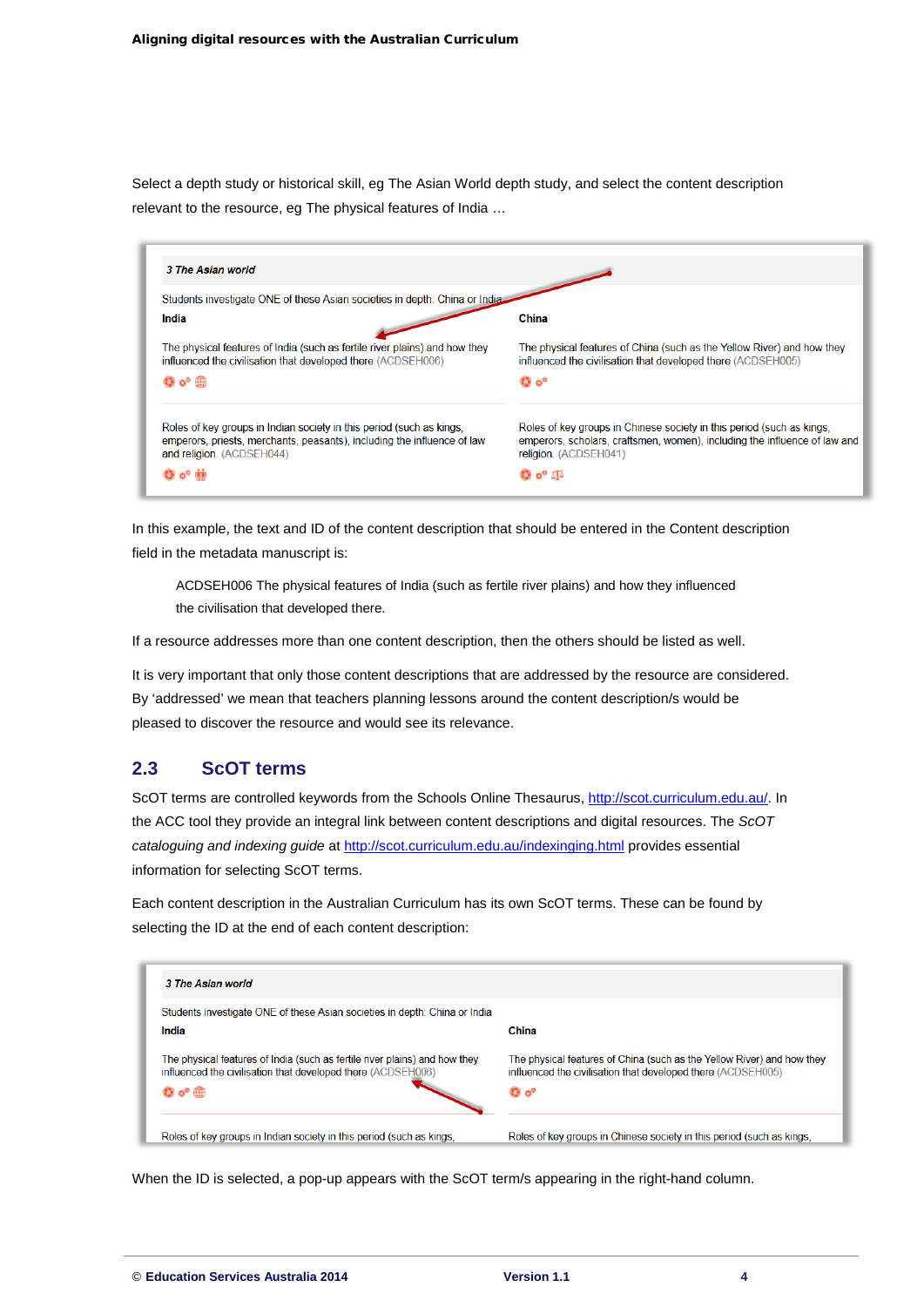Select a depth study or historical skill, eg The Asian World depth study, and select the content description relevant to the resource, eg The physical features of India …

| 3 The Asian world                                                                                                                                                            |                                                                                                                                                                             |
|------------------------------------------------------------------------------------------------------------------------------------------------------------------------------|-----------------------------------------------------------------------------------------------------------------------------------------------------------------------------|
| Students investigate ONE of these Asian societies in depth: China or India                                                                                                   |                                                                                                                                                                             |
| India                                                                                                                                                                        | China                                                                                                                                                                       |
| The physical features of India (such as fertile river plains) and how they<br>influenced the civilisation that developed there (ACDSEH006)                                   | The physical features of China (such as the Yellow River) and how they<br>influenced the civilisation that developed there (ACDSEH005)                                      |
| இல் சி                                                                                                                                                                       | ව ස                                                                                                                                                                         |
| Roles of key groups in Indian society in this period (such as kings.<br>emperors, priests, merchants, peasants), including the influence of law<br>and religion. (ACDSEH044) | Roles of key groups in Chinese society in this period (such as kings,<br>emperors, scholars, craftsmen, women), including the influence of law and<br>religion. (ACDSEH041) |
|                                                                                                                                                                              | er all                                                                                                                                                                      |

In this example, the text and ID of the content description that should be entered in the Content description field in the metadata manuscript is:

ACDSEH006 The physical features of India (such as fertile river plains) and how they influenced the civilisation that developed there.

If a resource addresses more than one content description, then the others should be listed as well.

It is very important that only those content descriptions that are addressed by the resource are considered. By 'addressed' we mean that teachers planning lessons around the content description/s would be pleased to discover the resource and would see its relevance.

#### <span id="page-7-0"></span>**2.3 ScOT terms**

ScOT terms are controlled keywords from the Schools Online Thesaurus, [http://scot.curriculum.edu.au/.](http://scot.curriculum.edu.au/index.html) In the ACC tool they provide an integral link between content descriptions and digital resources. The *ScOT cataloguing and indexing guide* a[t http://scot.curriculum.edu.au/indexinging.html](http://scot.curriculum.edu.au/indexinging.html) provides essential information for selecting ScOT terms.

Each content description in the Australian Curriculum has its own ScOT terms. These can be found by selecting the ID at the end of each content description:



When the ID is selected, a pop-up appears with the ScOT term/s appearing in the right-hand column.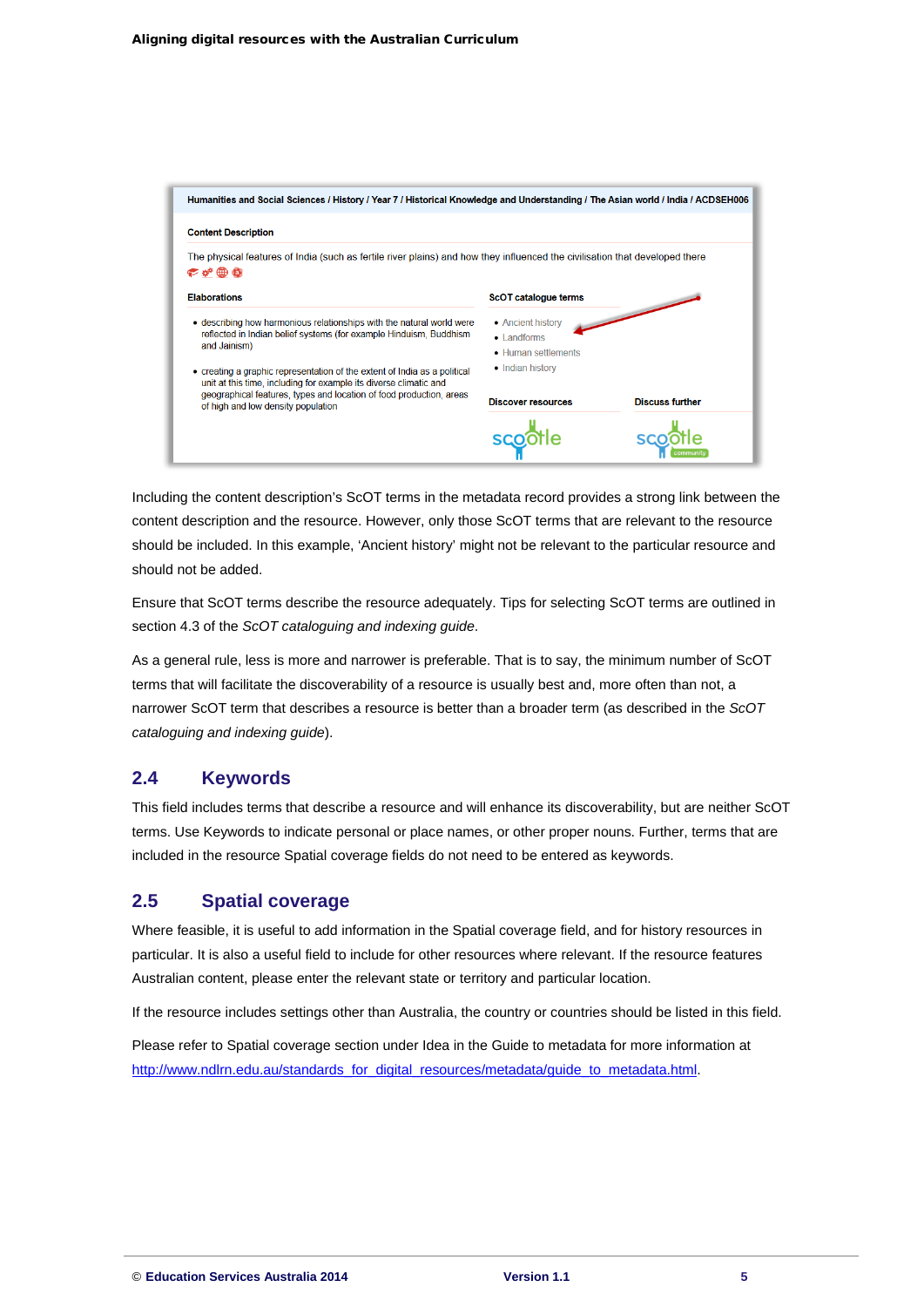

Including the content description's ScOT terms in the metadata record provides a strong link between the content description and the resource. However, only those ScOT terms that are relevant to the resource should be included. In this example, 'Ancient history' might not be relevant to the particular resource and should not be added.

Ensure that ScOT terms describe the resource adequately. Tips for selecting ScOT terms are outlined in section 4.3 of the *ScOT cataloguing and indexing guide*.

As a general rule, less is more and narrower is preferable. That is to say, the minimum number of ScOT terms that will facilitate the discoverability of a resource is usually best and, more often than not, a narrower ScOT term that describes a resource is better than a broader term (as described in the *ScOT cataloguing and indexing guide*).

#### <span id="page-8-0"></span>**2.4 Keywords**

This field includes terms that describe a resource and will enhance its discoverability, but are neither ScOT terms. Use Keywords to indicate personal or place names, or other proper nouns. Further, terms that are included in the resource Spatial coverage fields do not need to be entered as keywords.

#### <span id="page-8-1"></span>**2.5 Spatial coverage**

Where feasible, it is useful to add information in the Spatial coverage field, and for history resources in particular. It is also a useful field to include for other resources where relevant. If the resource features Australian content, please enter the relevant state or territory and particular location.

If the resource includes settings other than Australia, the country or countries should be listed in this field.

Please refer to Spatial coverage section under Idea in the Guide to metadata for more information at [http://www.ndlrn.edu.au/standards\\_for\\_digital\\_resources/metadata/guide\\_to\\_metadata.html.](http://www.ndlrn.edu.au/standards_for_digital_resources/metadata/guide_to_metadata.html)